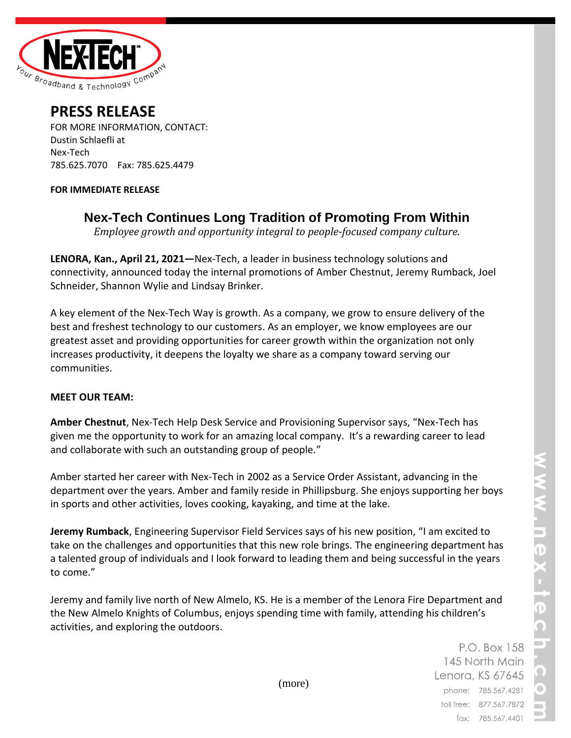

## **PRESS RELEASE**

FOR MORE INFORMATION, CONTACT: Dustin Schlaefli at Nex-Tech 785.625.7070 Fax: 785.625.4479

## **FOR IMMEDIATE RELEASE**

**Nex-Tech Continues Long Tradition of Promoting From Within**

*Employee growth and opportunity integral to people-focused company culture.*

**LENORA, Kan., April 21, 2021—**Nex-Tech, a leader in business technology solutions and connectivity, announced today the internal promotions of Amber Chestnut, Jeremy Rumback, Joel Schneider, Shannon Wylie and Lindsay Brinker.

A key element of the Nex-Tech Way is growth. As a company, we grow to ensure delivery of the best and freshest technology to our customers. As an employer, we know employees are our greatest asset and providing opportunities for career growth within the organization not only increases productivity, it deepens the loyalty we share as a company toward serving our communities.

## **MEET OUR TEAM:**

**Amber Chestnut**, Nex-Tech Help Desk Service and Provisioning Supervisor says, "Nex-Tech has given me the opportunity to work for an amazing local company. It's a rewarding career to lead and collaborate with such an outstanding group of people."

Amber started her career with Nex-Tech in 2002 as a Service Order Assistant, advancing in the department over the years. Amber and family reside in Phillipsburg. She enjoys supporting her boys in sports and other activities, loves cooking, kayaking, and time at the lake.

**Jeremy Rumback**, Engineering Supervisor Field Services says of his new position, "I am excited to take on the challenges and opportunities that this new role brings. The engineering department has a talented group of individuals and I look forward to leading them and being successful in the years to come."

Jeremy and family live north of New Almelo, KS. He is a member of the Lenora Fire Department and the New Almelo Knights of Columbus, enjoys spending time with family, attending his children's activities, and exploring the outdoors.

> P.O. Box 158 145 North Main Lenora, KS 67645 phone: 785.567.4281 toll free: 877.567.7872 fax: 785.567.4401

(more)